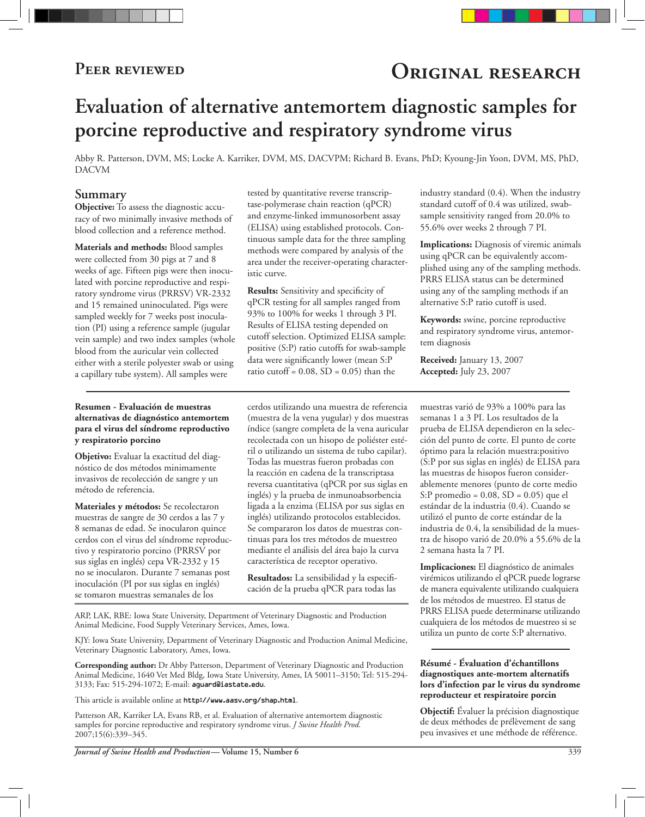# PEER REVIEWED **ORIGINAL RESEARCH**

# **Evaluation of alternative antemortem diagnostic samples for porcine reproductive and respiratory syndrome virus**

Abby R. Patterson, DVM, MS; Locke A. Karriker, DVM, MS, DACVPM; Richard B. Evans, PhD; Kyoung-Jin Yoon, DVM, MS, PhD, DACVM

#### **Summary**

**Objective:** To assess the diagnostic accuracy of two minimally invasive methods of blood collection and a reference method.

**Materials and methods:** Blood samples were collected from 30 pigs at 7 and 8 weeks of age. Fifteen pigs were then inoculated with porcine reproductive and respiratory syndrome virus (PRRSV) VR-2332 and 15 remained uninoculated. Pigs were sampled weekly for 7 weeks post inoculation (PI) using a reference sample (jugular vein sample) and two index samples (whole blood from the auricular vein collected either with a sterile polyester swab or using a capillary tube system). All samples were

#### **Resumen - Evaluación de muestras alternativas de diagnóstico antemortem para el virus del síndrome reproductivo y respiratorio porcino**

**Objetivo:** Evaluar la exactitud del diagnóstico de dos métodos minimamente invasivos de recolección de sangre y un método de referencia.

**Materiales y métodos:** Se recolectaron muestras de sangre de 30 cerdos a las 7 y 8 semanas de edad. Se inocularon quince cerdos con el virus del síndrome reproductivo y respiratorio porcino (PRRSV por sus siglas en inglés) cepa VR-2332 y 15 no se inocularon. Durante 7 semanas post inoculación (PI por sus siglas en inglés) se tomaron muestras semanales de los

tested by quantitative reverse transcriptase-polymerase chain reaction (qPCR) and enzyme-linked immunosorbent assay (ELISA) using established protocols. Continuous sample data for the three sampling methods were compared by analysis of the area under the receiver-operating characteristic curve.

**Results:** Sensitivity and specificity of qPCR testing for all samples ranged from 93% to 100% for weeks 1 through 3 PI. Results of ELISA testing depended on cutoff selection. Optimized ELISA sample: positive (S:P) ratio cutoffs for swab-sample data were significantly lower (mean S:P ratio cutoff =  $0.08$ , SD =  $0.05$ ) than the

cerdos utilizando una muestra de referencia (muestra de la vena yugular) y dos muestras índice (sangre completa de la vena auricular recolectada con un hisopo de poliéster estéril o utilizando un sistema de tubo capilar). Todas las muestras fueron probadas con la reacción en cadena de la transcriptasa reversa cuantitativa (qPCR por sus siglas en inglés) y la prueba de inmunoabsorbencia ligada a la enzima (ELISA por sus siglas en inglés) utilizando protocolos establecidos. Se compararon los datos de muestras continuas para los tres métodos de muestreo mediante el análisis del área bajo la curva característica de receptor operativo.

**Resultados:** La sensibilidad y la especificación de la prueba qPCR para todas las

ARP, LAK, RBE: Iowa State University, Department of Veterinary Diagnostic and Production Animal Medicine, Food Supply Veterinary Services, Ames, Iowa.

KJY: Iowa State University, Department of Veterinary Diagnostic and Production Animal Medicine, Veterinary Diagnostic Laboratory, Ames, Iowa.

**Corresponding author:** Dr Abby Patterson, Department of Veterinary Diagnostic and Production Animal Medicine, 1640 Vet Med Bldg, Iowa State University, Ames, IA 50011–3150; Tel: 515-294- 3133; Fax: 515-294-1072; E-mail: aguard@iastate.edu.

This article is available online at http://www.aasv.org/shap.html.

Patterson AR, Karriker LA, Evans RB, et al. Evaluation of alternative antemortem diagnostic samples for porcine reproductive and respiratory syndrome virus. *J Swine Health Prod.* 2007;15(6):339–345.

industry standard (0.4). When the industry standard cutoff of 0.4 was utilized, swabsample sensitivity ranged from 20.0% to 55.6% over weeks 2 through 7 PI.

**Implications:** Diagnosis of viremic animals using qPCR can be equivalently accomplished using any of the sampling methods. PRRS ELISA status can be determined using any of the sampling methods if an alternative S:P ratio cutoff is used.

**Keywords:** swine, porcine reproductive and respiratory syndrome virus, antemortem diagnosis

**Received:** January 13, 2007 **Accepted:** July 23, 2007

muestras varió de 93% a 100% para las semanas 1 a 3 PI. Los resultados de la prueba de ELISA dependieron en la selección del punto de corte. El punto de corte óptimo para la relación muestra:positivo (S:P por sus siglas en inglés) de ELISA para las muestras de hisopos fueron considerablemente menores (punto de corte medio S:P promedio = 0.08, SD = 0.05) que el estándar de la industria (0.4). Cuando se utilizó el punto de corte estándar de la industria de 0.4, la sensibilidad de la muestra de hisopo varió de 20.0% a 55.6% de la 2 semana hasta la 7 PI.

**Implicaciones:** El diagnóstico de animales virémicos utilizando el qPCR puede lograrse de manera equivalente utilizando cualquiera de los métodos de muestreo. El status de PRRS ELISA puede determinarse utilizando cualquiera de los métodos de muestreo si se utiliza un punto de corte S:P alternativo.

#### **Résumé - Évaluation d'échantillons diagnostiques ante-mortem alternatifs lors d'infection par le virus du syndrome reproducteur et respiratoire porcin**

**Objectif:** Évaluer la précision diagnostique de deux méthodes de prélèvement de sang peu invasives et une méthode de référence.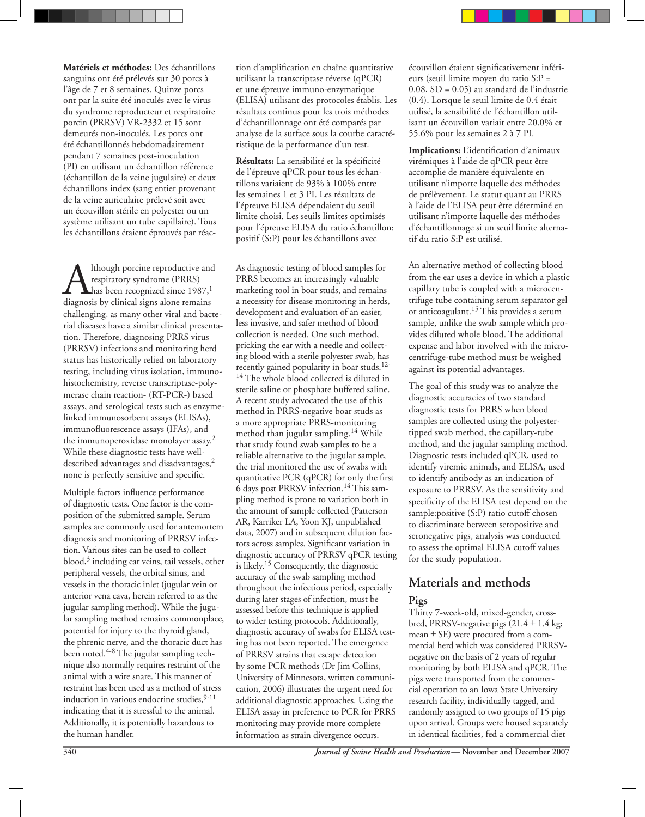**Matériels et méthodes:** Des échantillons sanguins ont été prélevés sur 30 porcs à l'âge de 7 et 8 semaines. Quinze porcs ont par la suite été inoculés avec le virus du syndrome reproducteur et respiratoire porcin (PRRSV) VR-2332 et 15 sont demeurés non-inoculés. Les porcs ont été échantillonnés hebdomadairement pendant 7 semaines post-inoculation (PI) en utilisant un échantillon référence (échantillon de la veine jugulaire) et deux échantillons index (sang entier provenant de la veine auriculaire prélevé soit avec un écouvillon stérile en polyester ou un système utilisant un tube capillaire). Tous les échantillons étaient éprouvés par réac-

**A** Ithough porcine reproductive and<br>respiratory syndrome (PRRS)<br>diagnosis by clinical signs alone remains respiratory syndrome (PRRS) has been recognized since 1987, $^{\rm 1}$ diagnosis by clinical signs alone remains challenging, as many other viral and bacterial diseases have a similar clinical presentation. Therefore, diagnosing PRRS virus (PRRSV) infections and monitoring herd status has historically relied on laboratory testing, including virus isolation, immunohistochemistry, reverse transcriptase-polymerase chain reaction- (RT-PCR-) based assays, and serological tests such as enzymelinked immunosorbent assays (ELISAs), immunofluorescence assays (IFAs), and the immunoperoxidase monolayer assay.2 While these diagnostic tests have welldescribed advantages and disadvantages,<sup>2</sup> none is perfectly sensitive and specific.

Multiple factors influence performance of diagnostic tests. One factor is the composition of the submitted sample. Serum samples are commonly used for antemortem diagnosis and monitoring of PRRSV infection. Various sites can be used to collect blood,3 including ear veins, tail vessels, other peripheral vessels, the orbital sinus, and vessels in the thoracic inlet (jugular vein or anterior vena cava, herein referred to as the jugular sampling method). While the jugular sampling method remains commonplace, potential for injury to the thyroid gland, the phrenic nerve, and the thoracic duct has been noted.<sup>4-8</sup> The jugular sampling technique also normally requires restraint of the animal with a wire snare. This manner of restraint has been used as a method of stress induction in various endocrine studies, 9-11 indicating that it is stressful to the animal. Additionally, it is potentially hazardous to the human handler.

tion d'amplification en chaîne quantitative utilisant la transcriptase réverse (qPCR) et une épreuve immuno-enzymatique (ELISA) utilisant des protocoles établis. Les résultats continus pour les trois méthodes d'échantillonnage ont été comparés par analyse de la surface sous la courbe caractéristique de la performance d'un test.

**Résultats:** La sensibilité et la spécificité de l'épreuve qPCR pour tous les échantillons variaient de 93% à 100% entre les semaines 1 et 3 PI. Les résultats de l'épreuve ELISA dépendaient du seuil limite choisi. Les seuils limites optimisés pour l'épreuve ELISA du ratio échantillon: positif (S:P) pour les échantillons avec

As diagnostic testing of blood samples for PRRS becomes an increasingly valuable marketing tool in boar studs, and remains a necessity for disease monitoring in herds, development and evaluation of an easier, less invasive, and safer method of blood collection is needed. One such method, pricking the ear with a needle and collecting blood with a sterile polyester swab, has recently gained popularity in boar studs.12- <sup>14</sup> The whole blood collected is diluted in sterile saline or phosphate buffered saline. A recent study advocated the use of this method in PRRS-negative boar studs as a more appropriate PRRS-monitoring method than jugular sampling.14 While that study found swab samples to be a reliable alternative to the jugular sample, the trial monitored the use of swabs with quantitative PCR (qPCR) for only the first 6 days post PRRSV infection.14 This sampling method is prone to variation both in the amount of sample collected (Patterson AR, Karriker LA, Yoon KJ, unpublished data, 2007) and in subsequent dilution factors across samples. Significant variation in diagnostic accuracy of PRRSV qPCR testing is likely.15 Consequently, the diagnostic accuracy of the swab sampling method throughout the infectious period, especially during later stages of infection, must be assessed before this technique is applied to wider testing protocols. Additionally, diagnostic accuracy of swabs for ELISA testing has not been reported. The emergence of PRRSV strains that escape detection by some PCR methods (Dr Jim Collins, University of Minnesota, written communication, 2006) illustrates the urgent need for additional diagnostic approaches. Using the ELISA assay in preference to PCR for PRRS monitoring may provide more complete information as strain divergence occurs.

écouvillon étaient significativement inférieurs (seuil limite moyen du ratio S:P = 0.08, SD = 0.05) au standard de l'industrie (0.4). Lorsque le seuil limite de 0.4 était utilisé, la sensibilité de l'échantillon utilisant un écouvillon variait entre 20.0% et 55.6% pour les semaines 2 à 7 PI.

**Implications:** L'identification d'animaux virémiques à l'aide de qPCR peut être accomplie de manière équivalente en utilisant n'importe laquelle des méthodes de prélèvement. Le statut quant au PRRS à l'aide de l'ELISA peut être déterminé en utilisant n'importe laquelle des méthodes d'échantillonnage si un seuil limite alternatif du ratio S:P est utilisé.

An alternative method of collecting blood from the ear uses a device in which a plastic capillary tube is coupled with a microcentrifuge tube containing serum separator gel or anticoagulant.15 This provides a serum sample, unlike the swab sample which provides diluted whole blood. The additional expense and labor involved with the microcentrifuge-tube method must be weighed against its potential advantages.

The goal of this study was to analyze the diagnostic accuracies of two standard diagnostic tests for PRRS when blood samples are collected using the polyestertipped swab method, the capillary-tube method, and the jugular sampling method. Diagnostic tests included qPCR, used to identify viremic animals, and ELISA, used to identify antibody as an indication of exposure to PRRSV. As the sensitivity and specificity of the ELISA test depend on the sample:positive (S:P) ratio cutoff chosen to discriminate between seropositive and seronegative pigs, analysis was conducted to assess the optimal ELISA cutoff values for the study population.

# **Materials and methods**

### **Pigs**

Thirty 7-week-old, mixed-gender, crossbred, PRRSV-negative pigs  $(21.4 \pm 1.4 \text{ kg})$ ; mean ± SE) were procured from a commercial herd which was considered PRRSVnegative on the basis of 2 years of regular monitoring by both ELISA and qPCR. The pigs were transported from the commercial operation to an Iowa State University research facility, individually tagged, and randomly assigned to two groups of 15 pigs upon arrival. Groups were housed separately in identical facilities, fed a commercial diet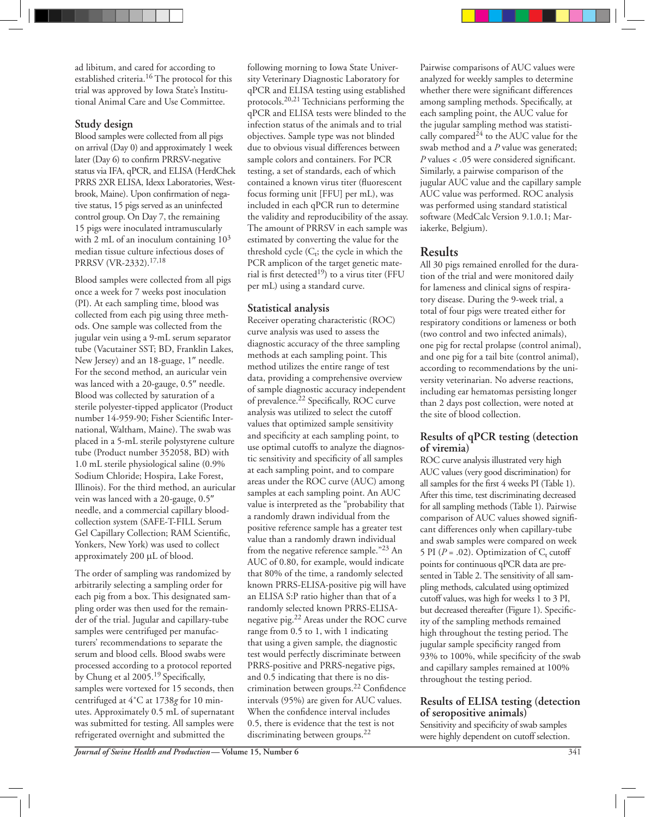ad libitum, and cared for according to established criteria.16 The protocol for this trial was approved by Iowa State's Institutional Animal Care and Use Committee.

#### **Study design**

Blood samples were collected from all pigs on arrival (Day 0) and approximately 1 week later (Day 6) to confirm PRRSV-negative status via IFA, qPCR, and ELISA (HerdChek PRRS 2XR ELISA, Idexx Laboratories, Westbrook, Maine). Upon confirmation of negative status, 15 pigs served as an uninfected control group. On Day 7, the remaining 15 pigs were inoculated intramuscularly with 2 mL of an inoculum containing  $10^3$ median tissue culture infectious doses of PRRSV (VR-2332).17,18

Blood samples were collected from all pigs once a week for 7 weeks post inoculation (PI). At each sampling time, blood was collected from each pig using three methods. One sample was collected from the jugular vein using a 9-mL serum separator tube (Vacutainer SST; BD, Franklin Lakes, New Jersey) and an 18-guage, 1″ needle. For the second method, an auricular vein was lanced with a 20-gauge, 0.5″ needle. Blood was collected by saturation of a sterile polyester-tipped applicator (Product number 14-959-90; Fisher Scientific International, Waltham, Maine). The swab was placed in a 5-mL sterile polystyrene culture tube (Product number 352058, BD) with 1.0 mL sterile physiological saline (0.9% Sodium Chloride; Hospira, Lake Forest, Illinois). For the third method, an auricular vein was lanced with a 20-gauge, 0.5″ needle, and a commercial capillary bloodcollection system (SAFE-T-FILL Serum Gel Capillary Collection; RAM Scientific, Yonkers, New York) was used to collect approximately 200 µL of blood.

The order of sampling was randomized by arbitrarily selecting a sampling order for each pig from a box. This designated sampling order was then used for the remainder of the trial. Jugular and capillary-tube samples were centrifuged per manufacturers' recommendations to separate the serum and blood cells. Blood swabs were processed according to a protocol reported by Chung et al 2005.19 Specifically, samples were vortexed for 15 seconds, then centrifuged at 4˚C at 1738*g* for 10 minutes. Approximately 0.5 mL of supernatant was submitted for testing. All samples were refrigerated overnight and submitted the

following morning to Iowa State University Veterinary Diagnostic Laboratory for qPCR and ELISA testing using established protocols.20,21 Technicians performing the qPCR and ELISA tests were blinded to the infection status of the animals and to trial objectives. Sample type was not blinded due to obvious visual differences between sample colors and containers. For PCR testing, a set of standards, each of which contained a known virus titer (fluorescent focus forming unit [FFU] per mL), was included in each qPCR run to determine the validity and reproducibility of the assay. The amount of PRRSV in each sample was estimated by converting the value for the threshold cycle  $(C_t;$  the cycle in which the PCR amplicon of the target genetic material is first detected<sup>19</sup>) to a virus titer (FFU per mL) using a standard curve.

### **Statistical analysis**

Receiver operating characteristic (ROC) curve analysis was used to assess the diagnostic accuracy of the three sampling methods at each sampling point. This method utilizes the entire range of test data, providing a comprehensive overview of sample diagnostic accuracy independent of prevalence.<sup>22</sup> Specifically, ROC curve analysis was utilized to select the cutoff values that optimized sample sensitivity and specificity at each sampling point, to use optimal cutoffs to analyze the diagnostic sensitivity and specificity of all samples at each sampling point, and to compare areas under the ROC curve (AUC) among samples at each sampling point. An AUC value is interpreted as the "probability that a randomly drawn individual from the positive reference sample has a greater test value than a randomly drawn individual from the negative reference sample."<sup>23</sup> An AUC of 0.80, for example, would indicate that 80% of the time, a randomly selected known PRRS-ELISA-positive pig will have an ELISA S:P ratio higher than that of a randomly selected known PRRS-ELISAnegative pig.22 Areas under the ROC curve range from 0.5 to 1, with 1 indicating that using a given sample, the diagnostic test would perfectly discriminate between PRRS-positive and PRRS-negative pigs, and 0.5 indicating that there is no discrimination between groups.22 Confidence intervals (95%) are given for AUC values. When the confidence interval includes 0.5, there is evidence that the test is not discriminating between groups.<sup>22</sup>

Pairwise comparisons of AUC values were analyzed for weekly samples to determine whether there were significant differences among sampling methods. Specifically, at each sampling point, the AUC value for the jugular sampling method was statistically compared $24$  to the AUC value for the swab method and a *P* value was generated; *P* values < .05 were considered significant. Similarly, a pairwise comparison of the jugular AUC value and the capillary sample AUC value was performed. ROC analysis was performed using standard statistical software (MedCalc Version 9.1.0.1; Mariakerke, Belgium).

# **Results**

All 30 pigs remained enrolled for the duration of the trial and were monitored daily for lameness and clinical signs of respiratory disease. During the 9-week trial, a total of four pigs were treated either for respiratory conditions or lameness or both (two control and two infected animals), one pig for rectal prolapse (control animal), and one pig for a tail bite (control animal), according to recommendations by the university veterinarian. No adverse reactions, including ear hematomas persisting longer than 2 days post collection, were noted at the site of blood collection.

#### **Results of qPCR testing (detection of viremia)**

ROC curve analysis illustrated very high AUC values (very good discrimination) for all samples for the first 4 weeks PI (Table 1). After this time, test discriminating decreased for all sampling methods (Table 1). Pairwise comparison of AUC values showed significant differences only when capillary-tube and swab samples were compared on week 5 PI ( $P = .02$ ). Optimization of  $C_t$  cutoff points for continuous qPCR data are presented in Table 2. The sensitivity of all sampling methods, calculated using optimized cutoff values, was high for weeks 1 to 3 PI, but decreased thereafter (Figure 1). Specificity of the sampling methods remained high throughout the testing period. The jugular sample specificity ranged from 93% to 100%, while specificity of the swab and capillary samples remained at 100% throughout the testing period.

#### **Results of ELISA testing (detection of seropositive animals)**

Sensitivity and specificity of swab samples were highly dependent on cutoff selection.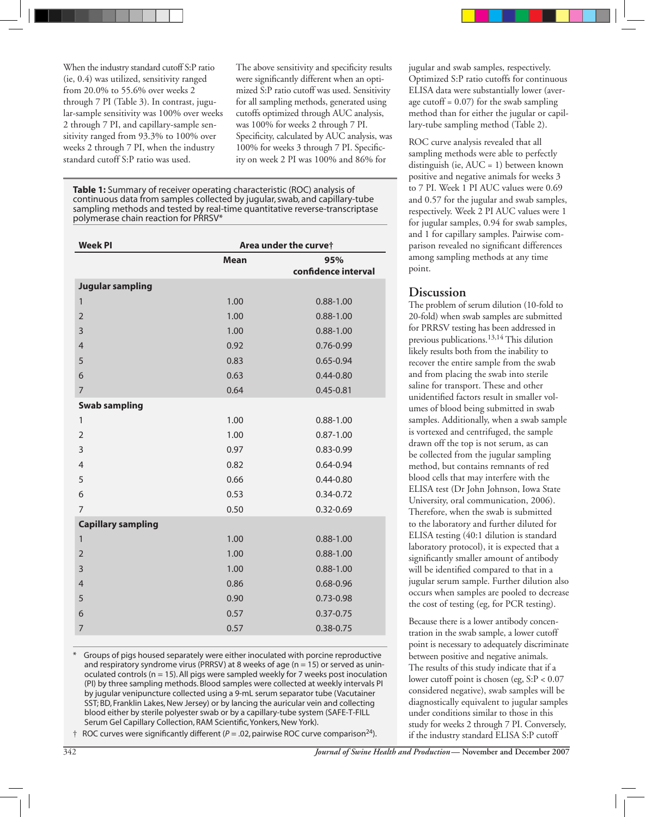When the industry standard cutoff S:P ratio (ie, 0.4) was utilized, sensitivity ranged from 20.0% to 55.6% over weeks 2 through 7 PI (Table 3). In contrast, jugular-sample sensitivity was 100% over weeks 2 through 7 PI, and capillary-sample sensitivity ranged from 93.3% to 100% over weeks 2 through 7 PI, when the industry standard cutoff S:P ratio was used.

The above sensitivity and specificity results were significantly different when an optimized S:P ratio cutoff was used. Sensitivity for all sampling methods, generated using cutoffs optimized through AUC analysis, was 100% for weeks 2 through 7 PI. Specificity, calculated by AUC analysis, was 100% for weeks 3 through 7 PI. Specificity on week 2 PI was 100% and 86% for

**Table 1:** Summary of receiver operating characteristic (ROC) analysis of continuous data from samples collected by jugular, swab, and capillary-tube sampling methods and tested by real-time quantitative reverse-transcriptase polymerase chain reaction for PRRSV\*

| <b>Week PI</b>            | Area under the curvet |                     |  |
|---------------------------|-----------------------|---------------------|--|
|                           | <b>Mean</b><br>95%    |                     |  |
|                           |                       | confidence interval |  |
| <b>Jugular sampling</b>   |                       |                     |  |
| $\mathbf{1}$              | 1.00                  | $0.88 - 1.00$       |  |
| $\overline{2}$            | 1.00                  | $0.88 - 1.00$       |  |
| 3                         | 1.00                  | $0.88 - 1.00$       |  |
| $\overline{4}$            | 0.92                  | 0.76-0.99           |  |
| 5                         | 0.83                  | $0.65 - 0.94$       |  |
| 6                         | 0.63                  | $0.44 - 0.80$       |  |
| $\overline{7}$            | 0.64                  | $0.45 - 0.81$       |  |
| <b>Swab sampling</b>      |                       |                     |  |
| 1                         | 1.00                  | $0.88 - 1.00$       |  |
| $\overline{2}$            | 1.00                  | $0.87 - 1.00$       |  |
| 3                         | 0.97                  | 0.83-0.99           |  |
| $\overline{4}$            | 0.82                  | $0.64 - 0.94$       |  |
| 5                         | 0.66                  | $0.44 - 0.80$       |  |
| 6                         | 0.53                  | $0.34 - 0.72$       |  |
| $\overline{7}$            | 0.50                  | $0.32 - 0.69$       |  |
| <b>Capillary sampling</b> |                       |                     |  |
| $\mathbf{1}$              | 1.00                  | $0.88 - 1.00$       |  |
| $\overline{2}$            | 1.00                  | $0.88 - 1.00$       |  |
| $\overline{3}$            | 1.00                  | $0.88 - 1.00$       |  |
| $\overline{4}$            | 0.86                  | $0.68 - 0.96$       |  |
| 5                         | 0.90                  | 0.73-0.98           |  |
| 6                         | 0.57                  | $0.37 - 0.75$       |  |
| 7                         | 0.57                  | $0.38 - 0.75$       |  |

Groups of pigs housed separately were either inoculated with porcine reproductive and respiratory syndrome virus (PRRSV) at 8 weeks of age ( $n = 15$ ) or served as uninoculated controls ( $n = 15$ ). All pigs were sampled weekly for 7 weeks post inoculation (PI) by three sampling methods. Blood samples were collected at weekly intervals PI by jugular venipuncture collected using a 9-mL serum separator tube (Vacutainer SST; BD, Franklin Lakes, New Jersey) or by lancing the auricular vein and collecting blood either by sterile polyester swab or by a capillary-tube system (SAFE-T-FILL Serum Gel Capillary Collection, RAM Scientific, Yonkers, New York).

 $\dagger$  ROC curves were significantly different ( $P = .02$ , pairwise ROC curve comparison<sup>24</sup>).

jugular and swab samples, respectively. Optimized S:P ratio cutoffs for continuous ELISA data were substantially lower (average cutoff =  $0.07$ ) for the swab sampling method than for either the jugular or capillary-tube sampling method (Table 2).

ROC curve analysis revealed that all sampling methods were able to perfectly distinguish (ie, AUC = 1) between known positive and negative animals for weeks 3 to 7 PI. Week 1 PI AUC values were 0.69 and 0.57 for the jugular and swab samples, respectively. Week 2 PI AUC values were 1 for jugular samples, 0.94 for swab samples, and 1 for capillary samples. Pairwise comparison revealed no significant differences among sampling methods at any time point.

# **Discussion**

The problem of serum dilution (10-fold to 20-fold) when swab samples are submitted for PRRSV testing has been addressed in previous publications.13,14 This dilution likely results both from the inability to recover the entire sample from the swab and from placing the swab into sterile saline for transport. These and other unidentified factors result in smaller volumes of blood being submitted in swab samples. Additionally, when a swab sample is vortexed and centrifuged, the sample drawn off the top is not serum, as can be collected from the jugular sampling method, but contains remnants of red blood cells that may interfere with the ELISA test (Dr John Johnson, Iowa State University, oral communication, 2006). Therefore, when the swab is submitted to the laboratory and further diluted for ELISA testing (40:1 dilution is standard laboratory protocol), it is expected that a significantly smaller amount of antibody will be identified compared to that in a jugular serum sample. Further dilution also occurs when samples are pooled to decrease the cost of testing (eg, for PCR testing).

Because there is a lower antibody concentration in the swab sample, a lower cutoff point is necessary to adequately discriminate between positive and negative animals. The results of this study indicate that if a lower cutoff point is chosen (eg, S:P < 0.07 considered negative), swab samples will be diagnostically equivalent to jugular samples under conditions similar to those in this study for weeks 2 through 7 PI. Conversely, if the industry standard ELISA S:P cutoff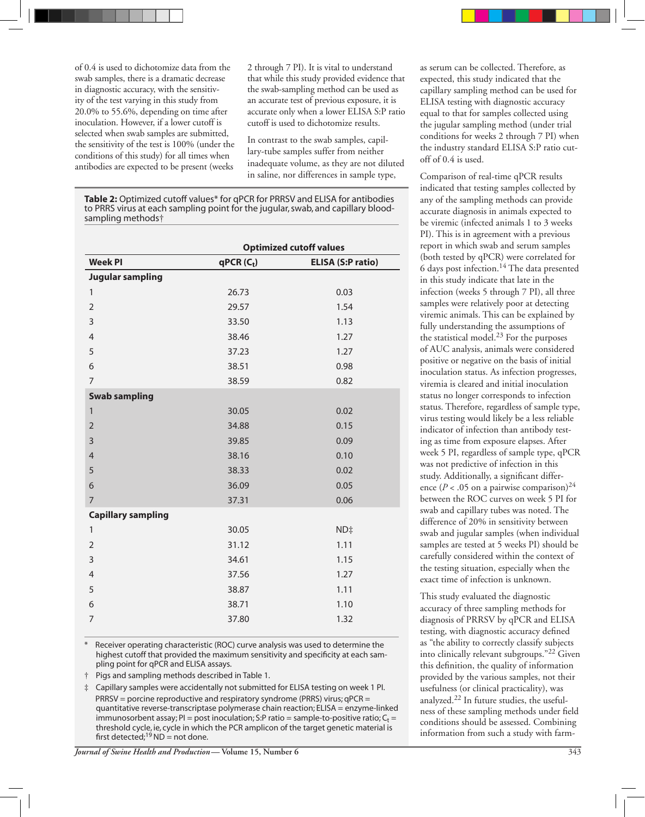of 0.4 is used to dichotomize data from the swab samples, there is a dramatic decrease in diagnostic accuracy, with the sensitivity of the test varying in this study from 20.0% to 55.6%, depending on time after inoculation. However, if a lower cutoff is selected when swab samples are submitted, the sensitivity of the test is 100% (under the conditions of this study) for all times when antibodies are expected to be present (weeks

2 through 7 PI). It is vital to understand that while this study provided evidence that the swab-sampling method can be used as an accurate test of previous exposure, it is accurate only when a lower ELISA S:P ratio cutoff is used to dichotomize results.

In contrast to the swab samples, capillary-tube samples suffer from neither inadequate volume, as they are not diluted in saline, nor differences in sample type,

**Table 2:** Optimized cutoff values\* for qPCR for PRRSV and ELISA for antibodies to PRRS virus at each sampling point for the jugular, swab, and capillary bloodsampling methods†

|                           | <b>Optimized cutoff values</b> |                          |  |
|---------------------------|--------------------------------|--------------------------|--|
| <b>Week PI</b>            | $qPCR(C_t)$                    | <b>ELISA (S:P ratio)</b> |  |
| <b>Jugular sampling</b>   |                                |                          |  |
| $\mathbf{1}$              | 26.73                          | 0.03                     |  |
| $\overline{2}$            | 29.57                          | 1.54                     |  |
| 3                         | 33.50                          | 1.13                     |  |
| $\overline{4}$            | 38.46                          | 1.27                     |  |
| 5                         | 37.23                          | 1.27                     |  |
| 6                         | 38.51                          | 0.98                     |  |
| $\overline{7}$            | 38.59                          | 0.82                     |  |
| <b>Swab sampling</b>      |                                |                          |  |
| $\mathbf{1}$              | 30.05                          | 0.02                     |  |
| $\overline{2}$            | 34.88                          | 0.15                     |  |
| 3                         | 39.85                          | 0.09                     |  |
| $\overline{4}$            | 38.16                          | 0.10                     |  |
| 5                         | 38.33                          | 0.02                     |  |
| 6                         | 36.09                          | 0.05                     |  |
| $\overline{7}$            | 37.31                          | 0.06                     |  |
| <b>Capillary sampling</b> |                                |                          |  |
| $\mathbf{1}$              | 30.05                          | ND‡                      |  |
| $\overline{2}$            | 31.12                          | 1.11                     |  |
| 3                         | 34.61                          | 1.15                     |  |
| $\overline{4}$            | 37.56                          | 1.27                     |  |
| 5                         | 38.87                          | 1.11                     |  |
| 6                         | 38.71                          | 1.10                     |  |
| $\overline{7}$            | 37.80                          | 1.32                     |  |
|                           |                                |                          |  |

Receiver operating characteristic (ROC) curve analysis was used to determine the highest cutoff that provided the maximum sensitivity and specificity at each sampling point for qPCR and ELISA assays.

† Pigs and sampling methods described in Table 1.

‡ Capillary samples were accidentally not submitted for ELISA testing on week 1 PI. PRRSV = porcine reproductive and respiratory syndrome (PRRS) virus; qPCR = quantitative reverse-transcriptase polymerase chain reaction; ELISA = enzyme-linked immunosorbent assay; PI = post inoculation; S:P ratio = sample-to-positive ratio;  $C_t$  = threshold cycle, ie, cycle in which the PCR amplicon of the target genetic material is first detected;<sup>19</sup> ND = not done.

as serum can be collected. Therefore, as expected, this study indicated that the capillary sampling method can be used for ELISA testing with diagnostic accuracy equal to that for samples collected using the jugular sampling method (under trial conditions for weeks 2 through 7 PI) when the industry standard ELISA S:P ratio cutoff of 0.4 is used.

Comparison of real-time qPCR results indicated that testing samples collected by any of the sampling methods can provide accurate diagnosis in animals expected to be viremic (infected animals 1 to 3 weeks PI). This is in agreement with a previous report in which swab and serum samples (both tested by qPCR) were correlated for 6 days post infection.14 The data presented in this study indicate that late in the infection (weeks 5 through 7 PI), all three samples were relatively poor at detecting viremic animals. This can be explained by fully understanding the assumptions of the statistical model.23 For the purposes of AUC analysis, animals were considered positive or negative on the basis of initial inoculation status. As infection progresses, viremia is cleared and initial inoculation status no longer corresponds to infection status. Therefore, regardless of sample type, virus testing would likely be a less reliable indicator of infection than antibody testing as time from exposure elapses. After week 5 PI, regardless of sample type, qPCR was not predictive of infection in this study. Additionally, a significant difference ( $P < .05$  on a pairwise comparison)<sup>24</sup> between the ROC curves on week 5 PI for swab and capillary tubes was noted. The difference of 20% in sensitivity between swab and jugular samples (when individual samples are tested at 5 weeks PI) should be carefully considered within the context of the testing situation, especially when the exact time of infection is unknown.

This study evaluated the diagnostic accuracy of three sampling methods for diagnosis of PRRSV by qPCR and ELISA testing, with diagnostic accuracy defined as "the ability to correctly classify subjects into clinically relevant subgroups."22 Given this definition, the quality of information provided by the various samples, not their usefulness (or clinical practicality), was analyzed. 22 In future studies, the usefulness of these sampling methods under field conditions should be assessed. Combining information from such a study with farm-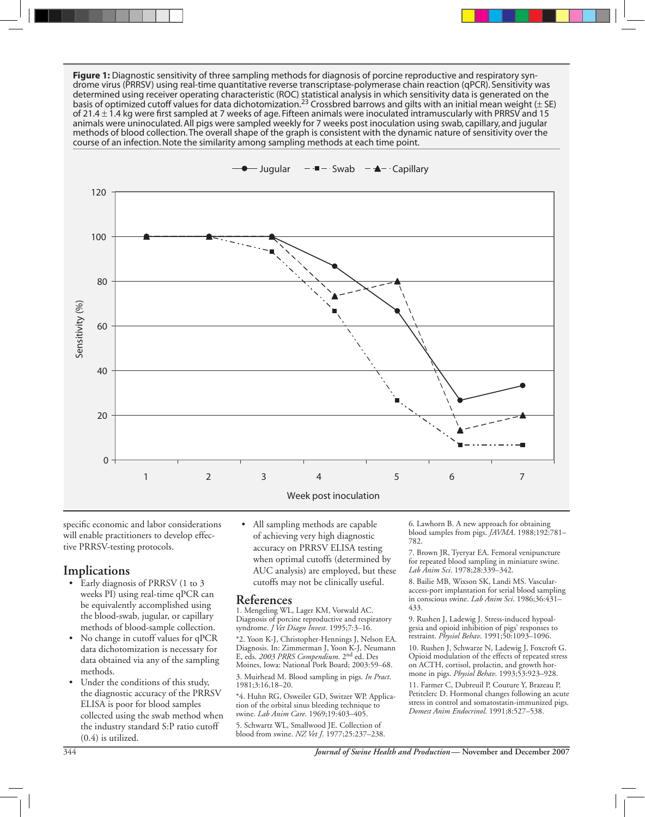**Figure 1:** Diagnostic sensitivity of three sampling methods for diagnosis of porcine reproductive and respiratory syndrome virus (PRRSV) using real-time quantitative reverse transcriptase-polymerase chain reaction (qPCR). Sensitivity was determined using receiver operating characteristic (ROC) statistical analysis in which sensitivity data is generated on the basis of optimized cutoff values for data dichotomization.<sup>23</sup> Crossbred barrows and gilts with an initial mean weight ( $\pm$  SE) of 21.4  $\pm$  1.4 kg were first sampled at 7 weeks of age. Fifteen animals were inoculated intramuscularly with PRRSV and 15 animals were uninoculated. All pigs were sampled weekly for 7 weeks post inoculation using swab, capillary, and jugular methods of blood collection. The overall shape of the graph is consistent with the dynamic nature of sensitivity over the course of an infection. Note the similarity among sampling methods at each time point.



specific economic and labor considerations will enable practitioners to develop effective PRRSV-testing protocols.

### **Implications**

- Early diagnosis of PRRSV (1 to 3 weeks PI) using real-time qPCR can be equivalently accomplished using the blood-swab, jugular, or capillary methods of blood-sample collection.
- No change in cutoff values for qPCR data dichotomization is necessary for data obtained via any of the sampling methods.
- Under the conditions of this study, the diagnostic accuracy of the PRRSV ELISA is poor for blood samples collected using the swab method when the industry standard S:P ratio cutoff (0.4) is utilized.

• All sampling methods are capable of achieving very high diagnostic accuracy on PRRSV ELISA testing when optimal cutoffs (determined by AUC analysis) are employed, but these cutoffs may not be clinically useful.

#### **References**

1. Mengeling WL, Lager KM, Vorwald AC. Diagnosis of porcine reproductive and respiratory syndrome. *J Vet Diagn Invest*. 1995;7:3–16.

\*2. Yoon K-J, Christopher-Hennings J, Nelson EA. Diagnosis. In: Zimmerman J, Yoon K-J, Neumann E, eds. *2003 PRRS Compendium*. 2nd ed. Des Moines, Iowa: National Pork Board; 2003:59–68.

3. Muirhead M. Blood sampling in pigs. *In Pract*. 1981;3:16,18–20.

\*4. Huhn RG, Osweiler GD, Switzer WP. Application of the orbital sinus bleeding technique to swine. *Lab Anim Care*. 1969;19:403–405.

5. Schwartz WL, Smallwood JE. Collection of blood from swine. *NZ Vet J*. 1977;25:237–238. 6. Lawhorn B. A new approach for obtaining blood samples from pigs. *JAVMA*. 1988;192:781– 782.

7. Brown JR, Tyeryar EA. Femoral venipuncture for repeated blood sampling in miniature swine. *Lab Anim Sci*. 1978;28:339–342.

8. Bailie MB, Wixson SK, Landi MS. Vascularaccess-port implantation for serial blood sampling in conscious swine. *Lab Anim Sci*. 1986;36:431– 433.

9. Rushen J, Ladewig J. Stress-induced hypoalgesia and opioid inhibition of pigs' responses to restraint. *Physiol Behav*. 1991;50:1093–1096.

10. Rushen J, Schwarze N, Ladewig J, Foxcroft G. Opioid modulation of the effects of repeated stress on ACTH, cortisol, prolactin, and growth hormone in pigs. *Physiol Behav*. 1993;53:923–928.

11. Farmer C, Dubreuil P, Couture Y, Brazeau P, Petitclerc D. Hormonal changes following an acute stress in control and somatostatin-immunized pigs. *Domest Anim Endocrinol*. 1991;8:527–538.